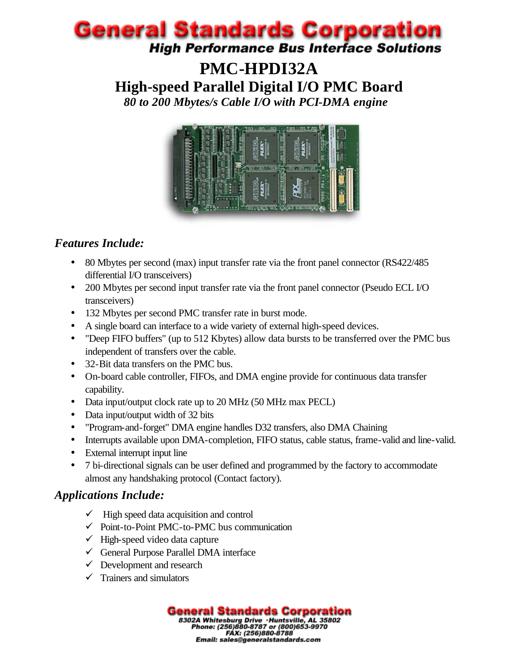# **PMC-HPDI32A High-speed Parallel Digital I/O PMC Board** *80 to 200 Mbytes/s Cable I/O with PCI-DMA engine*



# *Features Include:*

- 80 Mbytes per second (max) input transfer rate via the front panel connector (RS422/485) differential I/O transceivers)
- 200 Mbytes per second input transfer rate via the front panel connector (Pseudo ECL I/O transceivers)
- 132 Mbytes per second PMC transfer rate in burst mode.
- A single board can interface to a wide variety of external high-speed devices.
- "Deep FIFO buffers" (up to 512 Kbytes) allow data bursts to be transferred over the PMC bus independent of transfers over the cable.
- 32-Bit data transfers on the PMC bus.
- On-board cable controller, FIFOs, and DMA engine provide for continuous data transfer capability.
- Data input/output clock rate up to 20 MHz (50 MHz max PECL)
- Data input/output width of 32 bits
- "Program-and-forget" DMA engine handles D32 transfers, also DMA Chaining
- Interrupts available upon DMA-completion, FIFO status, cable status, frame-valid and line-valid.
- External interrupt input line
- 7 bi-directional signals can be user defined and programmed by the factory to accommodate almost any handshaking protocol (Contact factory).

# *Applications Include:*

- $\checkmark$  High speed data acquisition and control
- $\checkmark$  Point-to-Point PMC-to-PMC bus communication
- $\checkmark$  High-speed video data capture
- $\checkmark$  General Purpose Parallel DMA interface
- $\checkmark$  Development and research
- $\checkmark$  Trainers and simulators

**General Standards Corporation**<br>B302A Whitesburg Drive · Huntsville, AL 35802<br>Phone: (256)880-8787 or (800)653-9970<br>Email: sales@generalstandards.com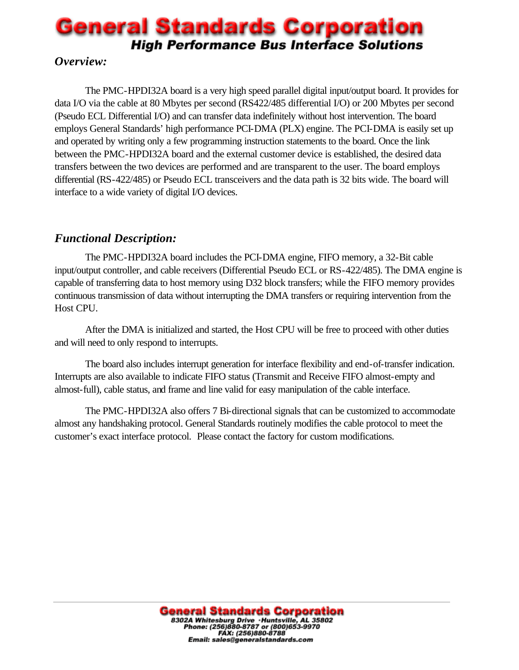## *Overview:*

The PMC-HPDI32A board is a very high speed parallel digital input/output board. It provides for data I/O via the cable at 80 Mbytes per second (RS422/485 differential I/O) or 200 Mbytes per second (Pseudo ECL Differential I/O) and can transfer data indefinitely without host intervention. The board employs General Standards' high performance PCI-DMA (PLX) engine. The PCI-DMA is easily set up and operated by writing only a few programming instruction statements to the board. Once the link between the PMC-HPDI32A board and the external customer device is established, the desired data transfers between the two devices are performed and are transparent to the user. The board employs differential (RS-422/485) or Pseudo ECL transceivers and the data path is 32 bits wide. The board will interface to a wide variety of digital I/O devices.

## *Functional Description:*

The PMC-HPDI32A board includes the PCI-DMA engine, FIFO memory, a 32-Bit cable input/output controller, and cable receivers (Differential Pseudo ECL or RS-422/485). The DMA engine is capable of transferring data to host memory using D32 block transfers; while the FIFO memory provides continuous transmission of data without interrupting the DMA transfers or requiring intervention from the Host CPU.

After the DMA is initialized and started, the Host CPU will be free to proceed with other duties and will need to only respond to interrupts.

The board also includes interrupt generation for interface flexibility and end-of-transfer indication. Interrupts are also available to indicate FIFO status (Transmit and Receive FIFO almost-empty and almost-full), cable status, and frame and line valid for easy manipulation of the cable interface.

The PMC-HPDI32A also offers 7 Bi-directional signals that can be customized to accommodate almost any handshaking protocol. General Standards routinely modifies the cable protocol to meet the customer's exact interface protocol. Please contact the factory for custom modifications.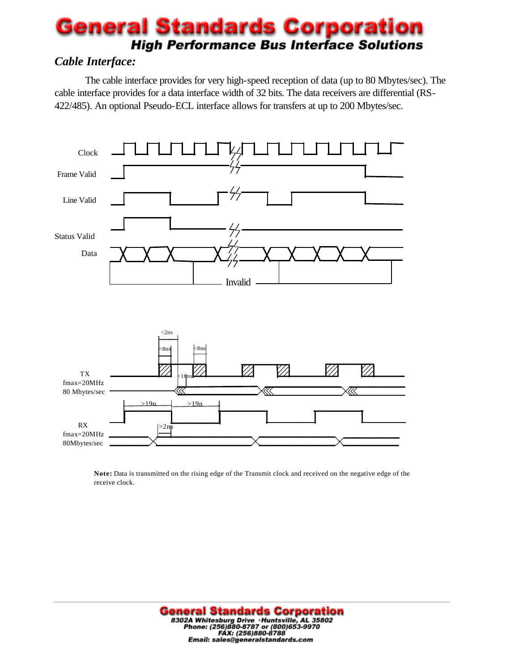## *Cable Interface:*

The cable interface provides for very high-speed reception of data (up to 80 Mbytes/sec). The cable interface provides for a data interface width of 32 bits. The data receivers are differential (RS-422/485). An optional Pseudo-ECL interface allows for transfers at up to 200 Mbytes/sec.



**Note:** Data is transmitted on the rising edge of the Transmit clock and received on the negative edge of the receive clock.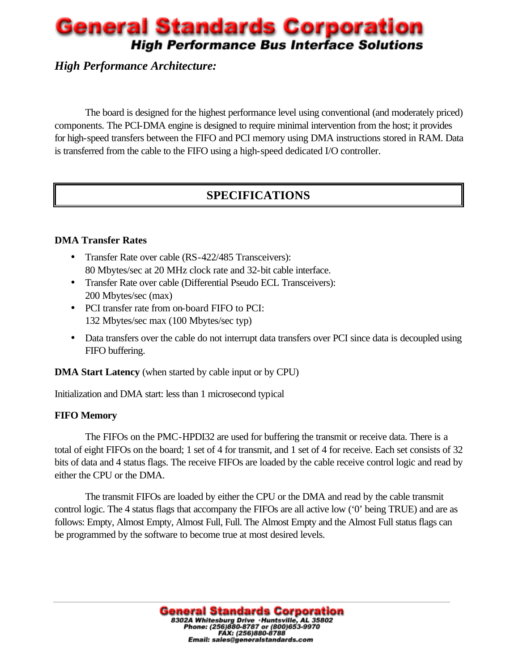## *High Performance Architecture:*

The board is designed for the highest performance level using conventional (and moderately priced) components. The PCI-DMA engine is designed to require minimal intervention from the host; it provides for high-speed transfers between the FIFO and PCI memory using DMA instructions stored in RAM. Data is transferred from the cable to the FIFO using a high-speed dedicated I/O controller.

# **SPECIFICATIONS**

#### **DMA Transfer Rates**

- Transfer Rate over cable (RS-422/485 Transceivers): 80 Mbytes/sec at 20 MHz clock rate and 32-bit cable interface.
- Transfer Rate over cable (Differential Pseudo ECL Transceivers): 200 Mbytes/sec (max)
- PCI transfer rate from on-board FIFO to PCI: 132 Mbytes/sec max (100 Mbytes/sec typ)
- Data transfers over the cable do not interrupt data transfers over PCI since data is decoupled using FIFO buffering.

**DMA Start Latency** (when started by cable input or by CPU)

Initialization and DMA start: less than 1 microsecond typical

#### **FIFO Memory**

The FIFOs on the PMC-HPDI32 are used for buffering the transmit or receive data. There is a total of eight FIFOs on the board; 1 set of 4 for transmit, and 1 set of 4 for receive. Each set consists of 32 bits of data and 4 status flags. The receive FIFOs are loaded by the cable receive control logic and read by either the CPU or the DMA.

The transmit FIFOs are loaded by either the CPU or the DMA and read by the cable transmit control logic. The 4 status flags that accompany the FIFOs are all active low ('0' being TRUE) and are as follows: Empty, Almost Empty, Almost Full, Full. The Almost Empty and the Almost Full status flags can be programmed by the software to become true at most desired levels.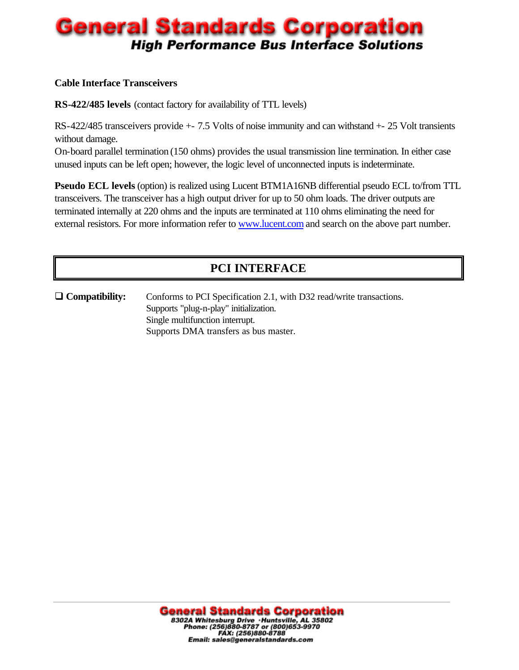#### **Cable Interface Transceivers**

**RS-422/485 levels** (contact factory for availability of TTL levels)

RS-422/485 transceivers provide +- 7.5 Volts of noise immunity and can withstand +- 25 Volt transients without damage.

On-board parallel termination (150 ohms) provides the usual transmission line termination. In either case unused inputs can be left open; however, the logic level of unconnected inputs is indeterminate.

**Pseudo ECL levels** (option) is realized using Lucent BTM1A16NB differential pseudo ECL to/from TTL transceivers. The transceiver has a high output driver for up to 50 ohm loads. The driver outputs are terminated internally at 220 ohms and the inputs are terminated at 110 ohms eliminating the need for external resistors. For more information refer to www.lucent.com and search on the above part number.

# **PCI INTERFACE**

□ **Compatibility:** Conforms to PCI Specification 2.1, with D32 read/write transactions. Supports "plug-n-play" initialization. Single multifunction interrupt. Supports DMA transfers as bus master.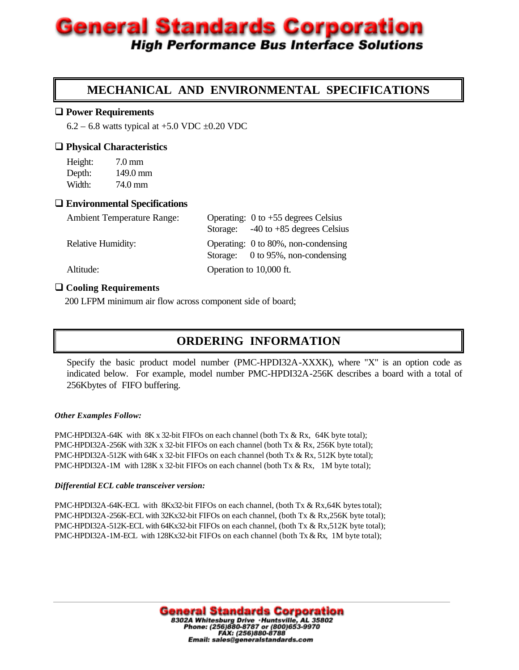## **MECHANICAL AND ENVIRONMENTAL SPECIFICATIONS**

#### **□ Power Requirements**

 $6.2 - 6.8$  watts typical at  $+5.0$  VDC  $\pm 0.20$  VDC

#### □ Physical Characteristics

Height: 7.0 mm Depth: 149.0 mm Width: 74.0 mm

#### □ Environmental Specifications

| <b>Ambient Temperature Range:</b> | Operating: $0$ to $+55$ degrees Celsius                                  |  |
|-----------------------------------|--------------------------------------------------------------------------|--|
|                                   | Storage: $-40$ to $+85$ degrees Celsius                                  |  |
| <b>Relative Humidity:</b>         | Operating: 0 to 80%, non-condensing<br>Storage: 0 to 95%, non-condensing |  |
| Altitude:                         | Operation to 10,000 ft.                                                  |  |

#### $□$  **Cooling Requirements**

200 LFPM minimum air flow across component side of board;

## **ORDERING INFORMATION**

Specify the basic product model number (PMC-HPDI32A-XXXK), where "X" is an option code as indicated below. For example, model number PMC-HPDI32A-256K describes a board with a total of 256Kbytes of FIFO buffering.

#### *Other Examples Follow:*

PMC-HPDI32A-64K with 8K x 32-bit FIFOs on each channel (both Tx & Rx, 64K byte total); PMC-HPDI32A-256K with 32K x 32-bit FIFOs on each channel (both Tx & Rx, 256K byte total); PMC-HPDI32A-512K with 64K x 32-bit FIFOs on each channel (both Tx & Rx, 512K byte total); PMC-HPDI32A-1M with 128K x 32-bit FIFOs on each channel (both Tx & Rx, 1M byte total);

#### *Differential ECL cable transceiver version:*

PMC-HPDI32A-64K-ECL with 8Kx32-bit FIFOs on each channel, (both Tx & Rx,64K bytes total); PMC-HPDI32A-256K-ECL with 32Kx32-bit FIFOs on each channel, (both Tx & Rx,256K byte total); PMC-HPDI32A-512K-ECL with 64Kx32-bit FIFOs on each channel, (both Tx & Rx,512K byte total); PMC-HPDI32A-1M-ECL with 128Kx32-bit FIFOs on each channel (both Tx & Rx, 1M byte total);

> **General Standards Corporation**<br>B302A Whitesburg Drive · Huntsville, AL 35802<br>Phone: (256)880-8787 or (800)653-9970<br>FAX: (256)880-8788 Email: sales@generalstandards.com